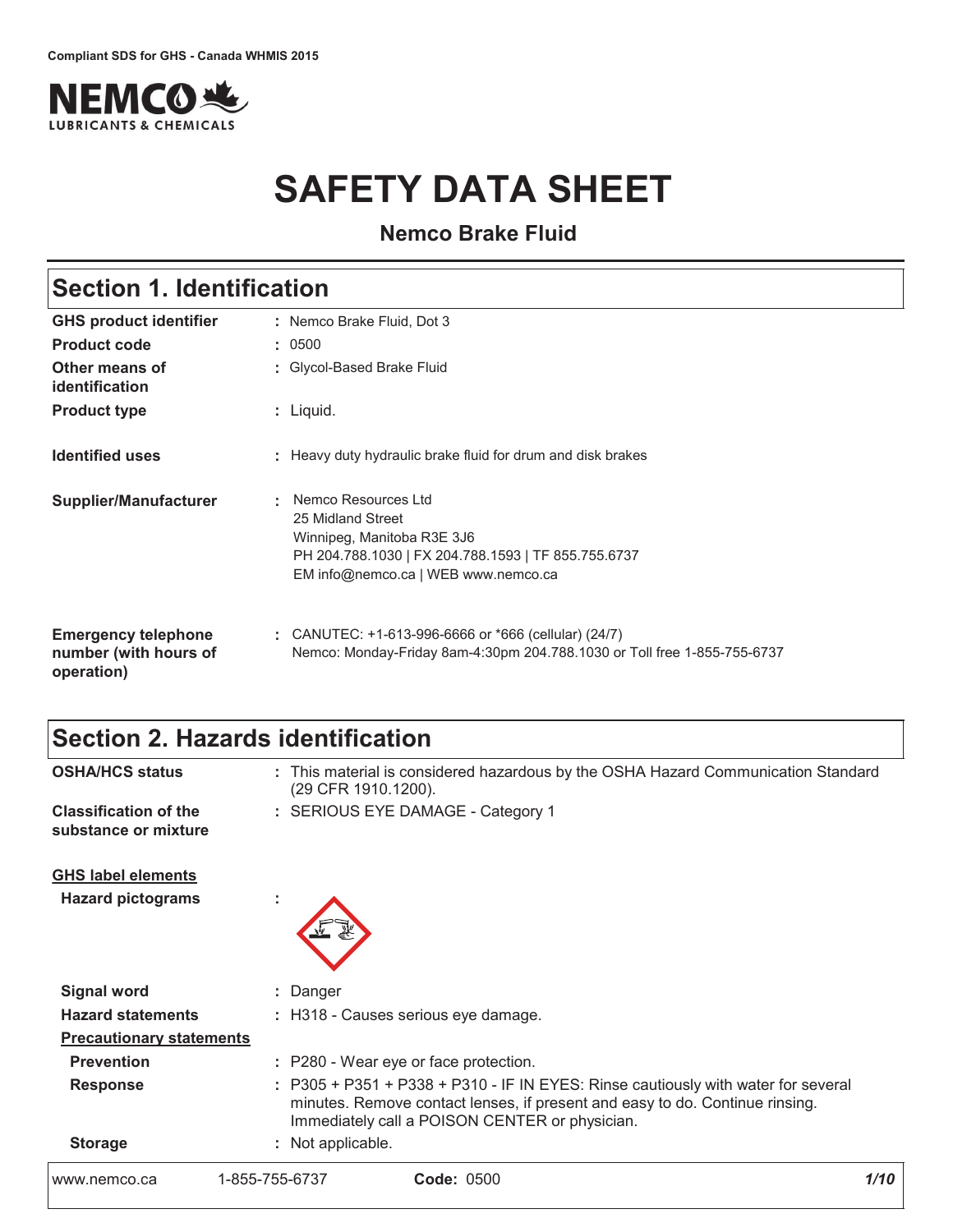

# **SAFETY DATA SHEET**

**Nemco Brake Fluid** 

| <b>Section 1. Identification</b>                                  |                                                                                                                                                                            |  |
|-------------------------------------------------------------------|----------------------------------------------------------------------------------------------------------------------------------------------------------------------------|--|
| <b>GHS product identifier</b>                                     | : Nemco Brake Fluid, Dot 3                                                                                                                                                 |  |
| <b>Product code</b>                                               | : 0500                                                                                                                                                                     |  |
| Other means of<br>identification                                  | : Glycol-Based Brake Fluid                                                                                                                                                 |  |
| <b>Product type</b>                                               | $:$ Liquid.                                                                                                                                                                |  |
| <b>Identified uses</b>                                            | : Heavy duty hydraulic brake fluid for drum and disk brakes                                                                                                                |  |
| Supplier/Manufacturer                                             | Nemco Resources Ltd<br>÷.<br>25 Midland Street<br>Winnipeg, Manitoba R3E 3J6<br>PH 204.788.1030   FX 204.788.1593   TF 855.755.6737<br>EM info@nemco.ca   WEB www.nemco.ca |  |
| <b>Emergency telephone</b><br>number (with hours of<br>operation) | : CANUTEC: $+1-613-996-6666$ or $*666$ (cellular) (24/7)<br>Nemco: Monday-Friday 8am-4:30pm 204.788.1030 or Toll free 1-855-755-6737                                       |  |

### Section 2. Hazards identification

| www.nemco.ca                                         | <b>Code: 0500</b><br>1-855-755-6737                                                                                                                                                                                 | 1/10 |
|------------------------------------------------------|---------------------------------------------------------------------------------------------------------------------------------------------------------------------------------------------------------------------|------|
| <b>Storage</b>                                       | : Not applicable.                                                                                                                                                                                                   |      |
| <b>Response</b>                                      | : P305 + P351 + P338 + P310 - IF IN EYES: Rinse cautiously with water for several<br>minutes. Remove contact lenses, if present and easy to do. Continue rinsing.<br>Immediately call a POISON CENTER or physician. |      |
| <b>Prevention</b>                                    | : P280 - Wear eye or face protection.                                                                                                                                                                               |      |
| <b>Precautionary statements</b>                      |                                                                                                                                                                                                                     |      |
| <b>Hazard statements</b>                             | : H318 - Causes serious eye damage.                                                                                                                                                                                 |      |
| <b>Signal word</b>                                   | : Danger                                                                                                                                                                                                            |      |
| <b>Hazard pictograms</b>                             |                                                                                                                                                                                                                     |      |
| <b>GHS label elements</b>                            |                                                                                                                                                                                                                     |      |
| <b>Classification of the</b><br>substance or mixture | : SERIOUS EYE DAMAGE - Category 1                                                                                                                                                                                   |      |
| <b>OSHA/HCS status</b>                               | : This material is considered hazardous by the OSHA Hazard Communication Standard<br>(29 CFR 1910.1200).                                                                                                            |      |
|                                                      |                                                                                                                                                                                                                     |      |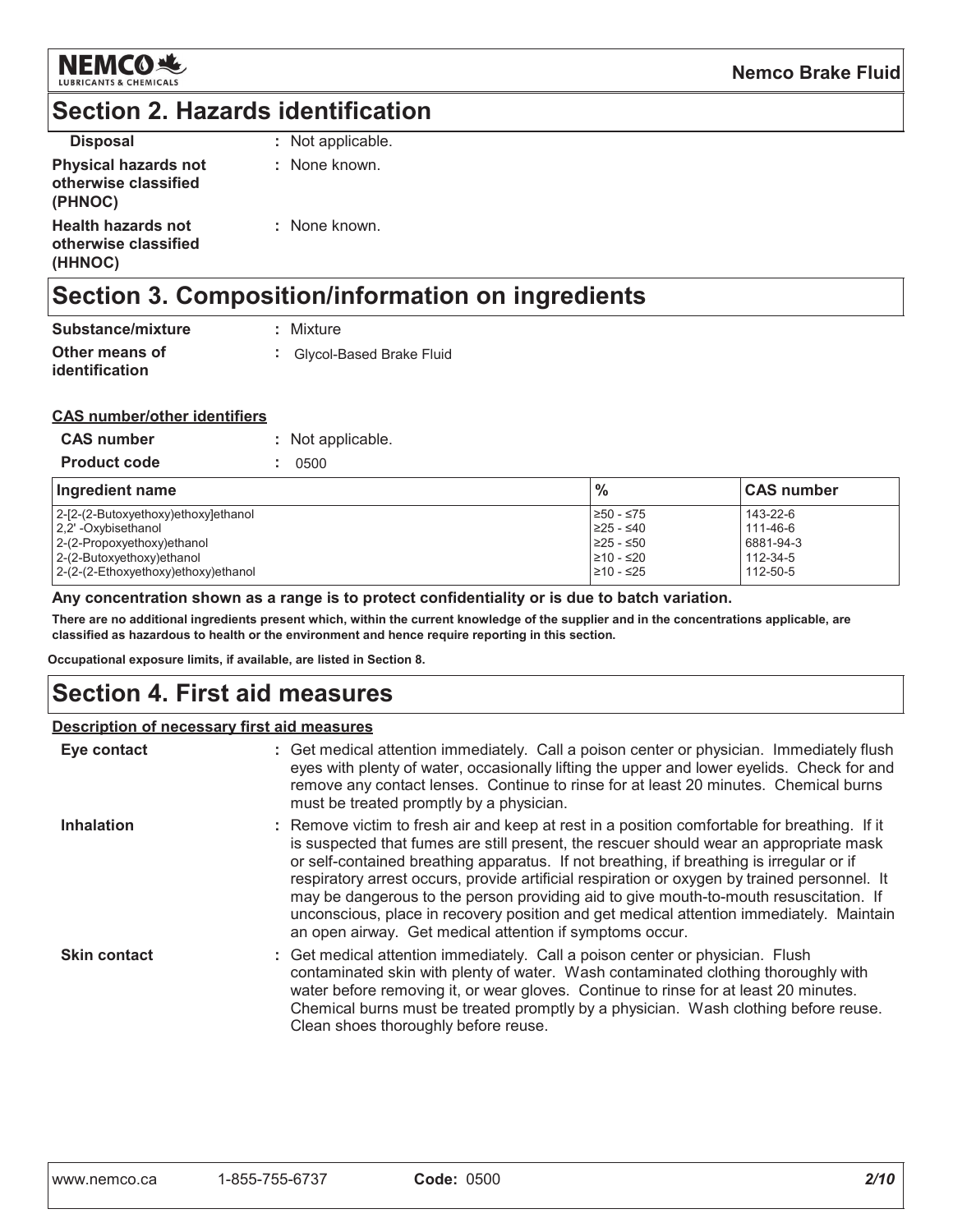

### **Section 2. Hazards identification**

| <b>Disposal</b>                                                | : Not applicable. |
|----------------------------------------------------------------|-------------------|
| <b>Physical hazards not</b><br>otherwise classified<br>(PHNOC) | : None known.     |
| <b>Health hazards not</b><br>otherwise classified<br>(HHNOC)   | : None known.     |

# Section 3. Composition/information on ingredients

| Substance/mixture                       | : Mixture                  |
|-----------------------------------------|----------------------------|
| Other means of<br><i>identification</i> | : Glycol-Based Brake Fluid |

#### **CAS number/other identifiers**

| <b>CAS number</b>   | : Not applicable. |
|---------------------|-------------------|
| <b>Product code</b> | : 0500            |

| Ingredient name                     | $\frac{9}{6}$ | <b>CAS number</b> |
|-------------------------------------|---------------|-------------------|
| 2-[2-(2-Butoxyethoxy)ethoxy]ethanol | ≥50 - ≤75     | 143-22-6          |
| 2.2' - Oxybisethanol                | $≥25 - ≤40$   | 111-46-6          |
| 2-(2-Propoxyethoxy)ethanol          | $≥25 - ≤50$   | 6881-94-3         |
| 2-(2-Butoxyethoxy)ethanol           | 210 - ≤20     | 112-34-5          |
| 2-(2-(2-Ethoxyethoxy)ethoxy)ethanol | 210 - ≤25     | 112-50-5          |

#### Any concentration shown as a range is to protect confidentiality or is due to batch variation.

There are no additional ingredients present which, within the current knowledge of the supplier and in the concentrations applicable, are classified as hazardous to health or the environment and hence require reporting in this section.

Occupational exposure limits, if available, are listed in Section 8.

### **Section 4. First aid measures**

#### Description of necessary first aid measures

| Eye contact         | : Get medical attention immediately. Call a poison center or physician. Immediately flush<br>eyes with plenty of water, occasionally lifting the upper and lower eyelids. Check for and<br>remove any contact lenses. Continue to rinse for at least 20 minutes. Chemical burns<br>must be treated promptly by a physician.                                                                                                                                                                                                                                                                                                        |
|---------------------|------------------------------------------------------------------------------------------------------------------------------------------------------------------------------------------------------------------------------------------------------------------------------------------------------------------------------------------------------------------------------------------------------------------------------------------------------------------------------------------------------------------------------------------------------------------------------------------------------------------------------------|
| Inhalation          | : Remove victim to fresh air and keep at rest in a position comfortable for breathing. If it<br>is suspected that fumes are still present, the rescuer should wear an appropriate mask<br>or self-contained breathing apparatus. If not breathing, if breathing is irregular or if<br>respiratory arrest occurs, provide artificial respiration or oxygen by trained personnel. It<br>may be dangerous to the person providing aid to give mouth-to-mouth resuscitation. If<br>unconscious, place in recovery position and get medical attention immediately. Maintain<br>an open airway. Get medical attention if symptoms occur. |
| <b>Skin contact</b> | : Get medical attention immediately. Call a poison center or physician. Flush<br>contaminated skin with plenty of water. Wash contaminated clothing thoroughly with<br>water before removing it, or wear gloves. Continue to rinse for at least 20 minutes.<br>Chemical burns must be treated promptly by a physician. Wash clothing before reuse.<br>Clean shoes thoroughly before reuse.                                                                                                                                                                                                                                         |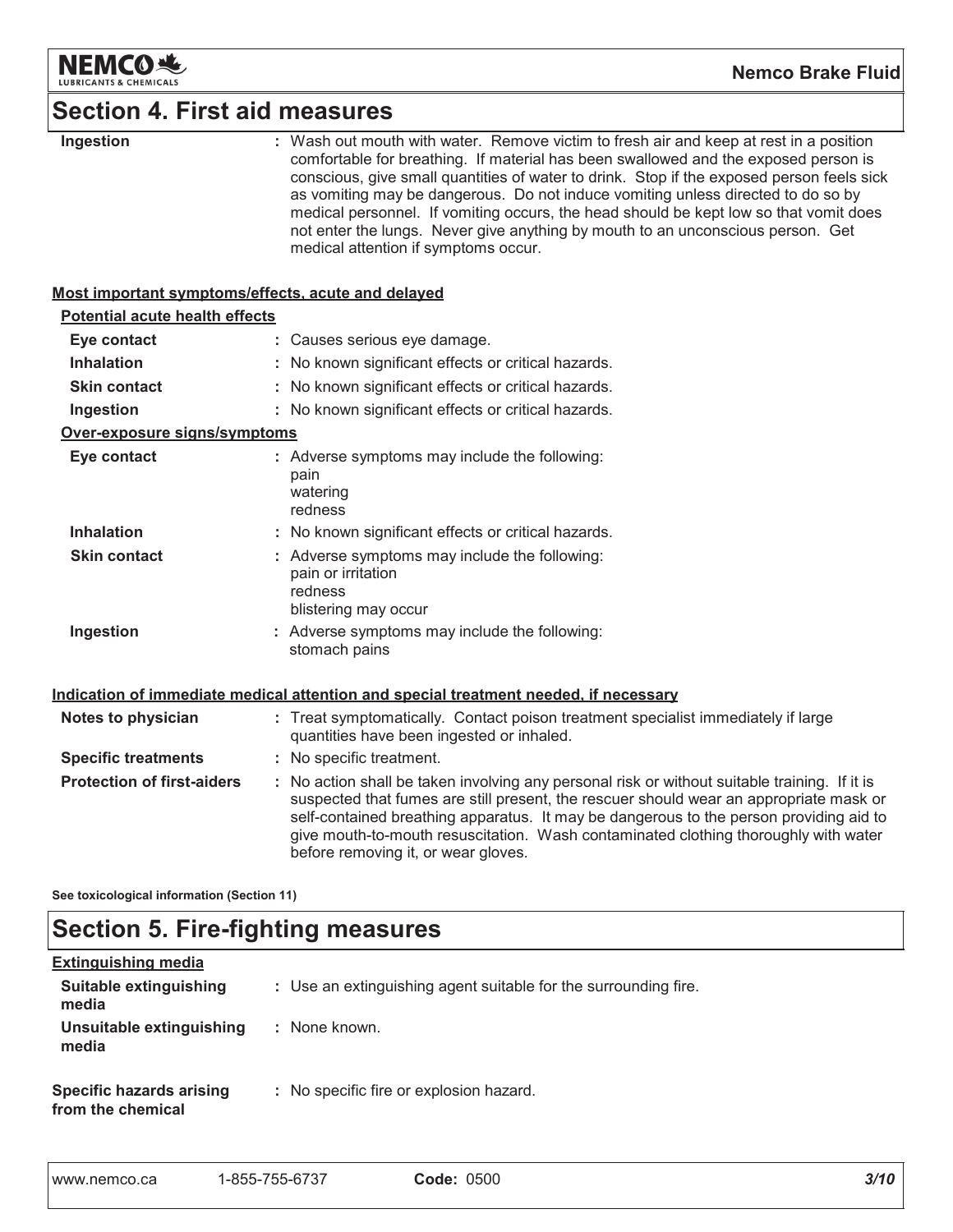

# **Section 4. First aid measures**

| Ingestion                                          | : Wash out mouth with water. Remove victim to fresh air and keep at rest in a position<br>comfortable for breathing. If material has been swallowed and the exposed person is                                                                                                                                                                                                                                   |
|----------------------------------------------------|-----------------------------------------------------------------------------------------------------------------------------------------------------------------------------------------------------------------------------------------------------------------------------------------------------------------------------------------------------------------------------------------------------------------|
|                                                    | conscious, give small quantities of water to drink. Stop if the exposed person feels sick<br>as vomiting may be dangerous. Do not induce vomiting unless directed to do so by<br>medical personnel. If vomiting occurs, the head should be kept low so that vomit does                                                                                                                                          |
|                                                    | not enter the lungs. Never give anything by mouth to an unconscious person. Get<br>medical attention if symptoms occur.                                                                                                                                                                                                                                                                                         |
| Most important symptoms/effects, acute and delayed |                                                                                                                                                                                                                                                                                                                                                                                                                 |
| <b>Potential acute health effects</b>              |                                                                                                                                                                                                                                                                                                                                                                                                                 |
| Eye contact                                        | : Causes serious eye damage.                                                                                                                                                                                                                                                                                                                                                                                    |
| <b>Inhalation</b>                                  | : No known significant effects or critical hazards.                                                                                                                                                                                                                                                                                                                                                             |
| <b>Skin contact</b>                                | : No known significant effects or critical hazards.                                                                                                                                                                                                                                                                                                                                                             |
| Ingestion                                          | : No known significant effects or critical hazards.                                                                                                                                                                                                                                                                                                                                                             |
| Over-exposure signs/symptoms                       |                                                                                                                                                                                                                                                                                                                                                                                                                 |
| Eye contact                                        | : Adverse symptoms may include the following:<br>pain                                                                                                                                                                                                                                                                                                                                                           |
|                                                    | watering<br>redness                                                                                                                                                                                                                                                                                                                                                                                             |
| <b>Inhalation</b>                                  | : No known significant effects or critical hazards.                                                                                                                                                                                                                                                                                                                                                             |
| <b>Skin contact</b>                                | : Adverse symptoms may include the following:<br>pain or irritation<br>redness<br>blistering may occur                                                                                                                                                                                                                                                                                                          |
| Ingestion                                          | : Adverse symptoms may include the following:<br>stomach pains                                                                                                                                                                                                                                                                                                                                                  |
|                                                    | Indication of immediate medical attention and special treatment needed, if necessary                                                                                                                                                                                                                                                                                                                            |
| Notes to physician                                 | : Treat symptomatically. Contact poison treatment specialist immediately if large<br>quantities have been ingested or inhaled.                                                                                                                                                                                                                                                                                  |
| <b>Specific treatments</b>                         | : No specific treatment.                                                                                                                                                                                                                                                                                                                                                                                        |
| <b>Protection of first-aiders</b>                  | : No action shall be taken involving any personal risk or without suitable training. If it is<br>suspected that fumes are still present, the rescuer should wear an appropriate mask or<br>self-contained breathing apparatus. It may be dangerous to the person providing aid to<br>give mouth-to-mouth resuscitation. Wash contaminated clothing thoroughly with water<br>before removing it, or wear gloves. |
| See toxicological information (Section 11)         |                                                                                                                                                                                                                                                                                                                                                                                                                 |

# **Section 5. Fire-fighting measures**

| <b>Extinguishing media</b>                           |                                                                 |
|------------------------------------------------------|-----------------------------------------------------------------|
| Suitable extinguishing<br>media                      | : Use an extinguishing agent suitable for the surrounding fire. |
| Unsuitable extinguishing<br>media                    | : None known.                                                   |
| <b>Specific hazards arising</b><br>from the chemical | : No specific fire or explosion hazard.                         |

| www.nemco.ca | 1-855-755-6737 | <b>Code: 0500</b> |
|--------------|----------------|-------------------|
|--------------|----------------|-------------------|

Г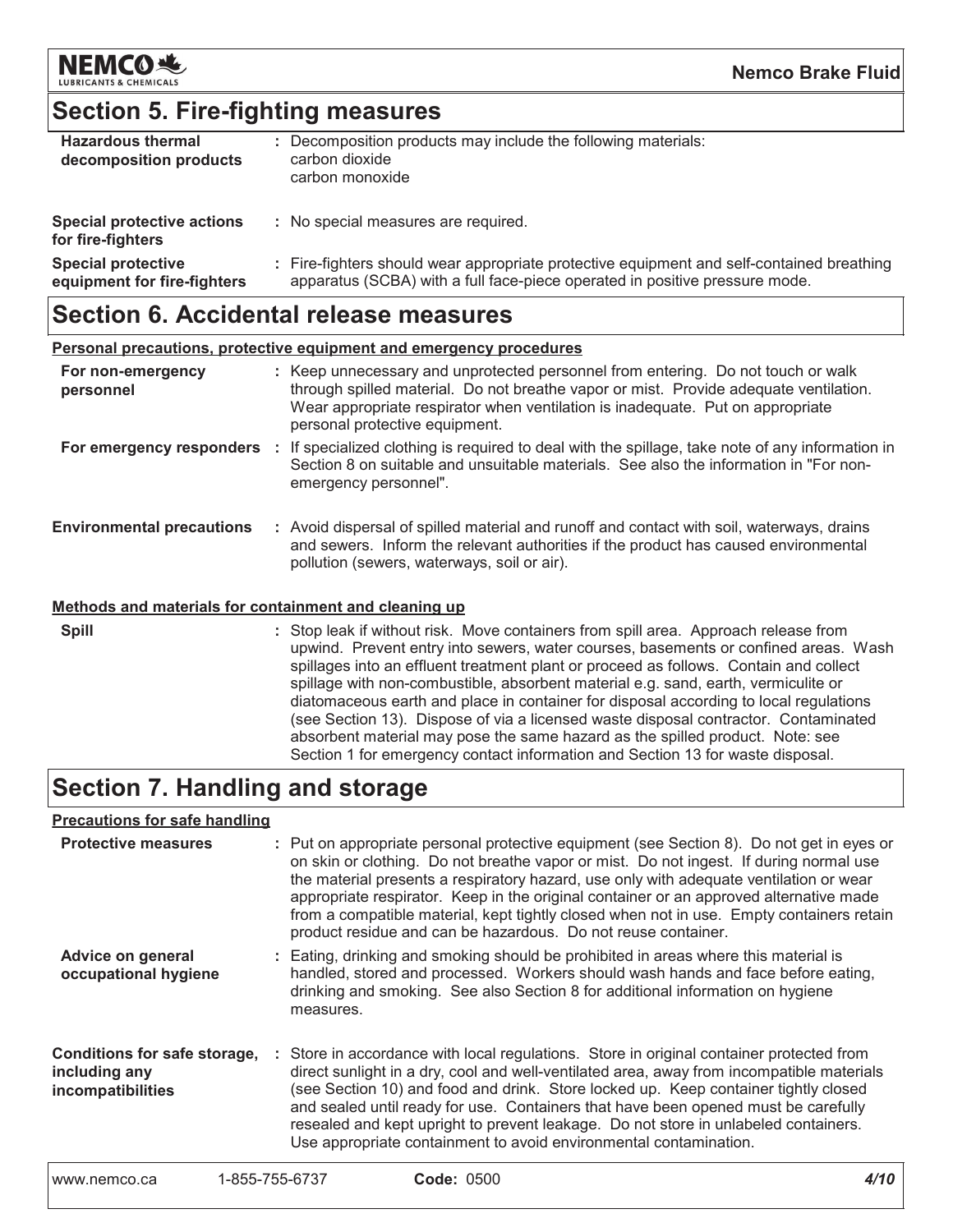

### **Section 5. Fire-fighting measures**

| <b>Hazardous thermal</b><br>decomposition products       | : Decomposition products may include the following materials:<br>carbon dioxide<br>carbon monoxide                                                                       |  |
|----------------------------------------------------------|--------------------------------------------------------------------------------------------------------------------------------------------------------------------------|--|
| Special protective actions<br>for fire-fighters          | : No special measures are required.                                                                                                                                      |  |
| <b>Special protective</b><br>equipment for fire-fighters | : Fire-fighters should wear appropriate protective equipment and self-contained breathing<br>apparatus (SCBA) with a full face-piece operated in positive pressure mode. |  |

### **Section 6. Accidental release measures**

| Personal precautions, protective equipment and emergency procedures |  |                                                                                                                                                                                                                                                                                               |
|---------------------------------------------------------------------|--|-----------------------------------------------------------------------------------------------------------------------------------------------------------------------------------------------------------------------------------------------------------------------------------------------|
| For non-emergency<br>personnel                                      |  | : Keep unnecessary and unprotected personnel from entering. Do not touch or walk<br>through spilled material. Do not breathe vapor or mist. Provide adequate ventilation.<br>Wear appropriate respirator when ventilation is inadequate. Put on appropriate<br>personal protective equipment. |
|                                                                     |  | For emergency responders : If specialized clothing is required to deal with the spillage, take note of any information in<br>Section 8 on suitable and unsuitable materials. See also the information in "For non-<br>emergency personnel".                                                   |
| <b>Environmental precautions</b>                                    |  | : Avoid dispersal of spilled material and runoff and contact with soil, waterways, drains<br>and sewers. Inform the relevant authorities if the product has caused environmental<br>pollution (sewers, waterways, soil or air).                                                               |
| Methods and materials for containment and cleaning up               |  |                                                                                                                                                                                                                                                                                               |
|                                                                     |  |                                                                                                                                                                                                                                                                                               |

**Spill** : Stop leak if without risk. Move containers from spill area. Approach release from upwind. Prevent entry into sewers, water courses, basements or confined areas. Wash spillages into an effluent treatment plant or proceed as follows. Contain and collect spillage with non-combustible, absorbent material e.g. sand, earth, vermiculite or diatomaceous earth and place in container for disposal according to local regulations (see Section 13). Dispose of via a licensed waste disposal contractor. Contaminated absorbent material may pose the same hazard as the spilled product. Note: see Section 1 for emergency contact information and Section 13 for waste disposal.

### Section 7. Handling and storage

#### **Precautions for safe handling**

| <b>Protective measures</b>                                         | : Put on appropriate personal protective equipment (see Section 8). Do not get in eyes or<br>on skin or clothing. Do not breathe vapor or mist. Do not ingest. If during normal use<br>the material presents a respiratory hazard, use only with adequate ventilation or wear<br>appropriate respirator. Keep in the original container or an approved alternative made<br>from a compatible material, kept tightly closed when not in use. Empty containers retain<br>product residue and can be hazardous. Do not reuse container. |
|--------------------------------------------------------------------|--------------------------------------------------------------------------------------------------------------------------------------------------------------------------------------------------------------------------------------------------------------------------------------------------------------------------------------------------------------------------------------------------------------------------------------------------------------------------------------------------------------------------------------|
| Advice on general<br>occupational hygiene                          | : Eating, drinking and smoking should be prohibited in areas where this material is<br>handled, stored and processed. Workers should wash hands and face before eating,<br>drinking and smoking. See also Section 8 for additional information on hygiene<br>measures.                                                                                                                                                                                                                                                               |
| Conditions for safe storage,<br>including any<br>incompatibilities | : Store in accordance with local regulations. Store in original container protected from<br>direct sunlight in a dry, cool and well-ventilated area, away from incompatible materials<br>(see Section 10) and food and drink. Store locked up. Keep container tightly closed<br>and sealed until ready for use. Containers that have been opened must be carefully<br>resealed and kept upright to prevent leakage. Do not store in unlabeled containers.<br>Use appropriate containment to avoid environmental contamination.       |
|                                                                    |                                                                                                                                                                                                                                                                                                                                                                                                                                                                                                                                      |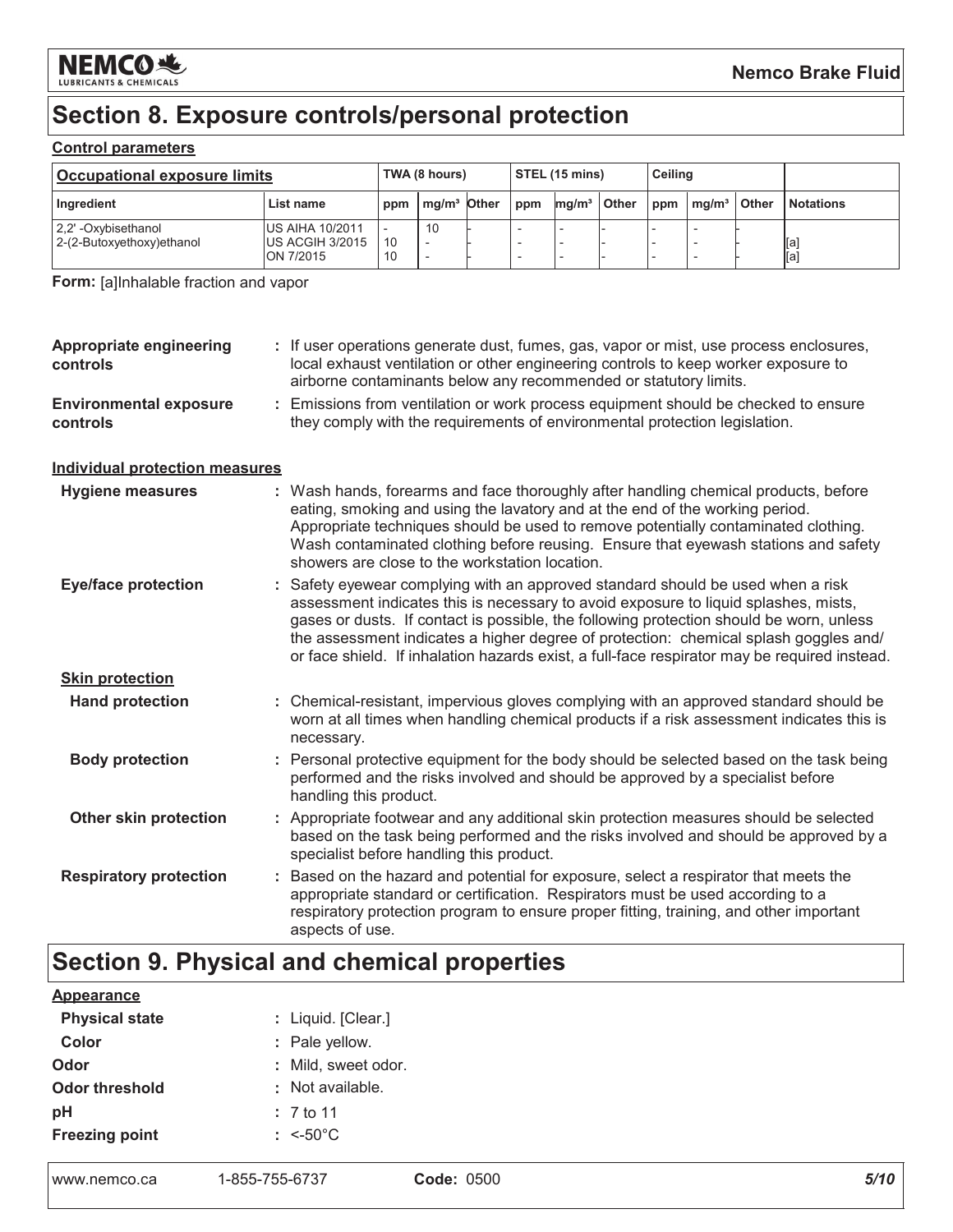

# Section 8. Exposure controls/personal protection

#### **Control parameters**

| <b>Occupational exposure limits</b>              |                                                          | TWA (8 hours) |               | $\overline{\text{STEL}}$ (15 mins) |     | <b>Ceiling</b>    |       |     |                   |       |                  |
|--------------------------------------------------|----------------------------------------------------------|---------------|---------------|------------------------------------|-----|-------------------|-------|-----|-------------------|-------|------------------|
| Ingredient                                       | List name                                                | ppm           | $mq/m3$ Other |                                    | ppm | mq/m <sup>3</sup> | Other | ppm | ma/m <sup>3</sup> | Other | <b>Notations</b> |
| 2.2' -Oxybisethanol<br>2-(2-Butoxyethoxy)ethanol | <b>IUS AIHA 10/2011</b><br>US ACGIH 3/2015<br>ION 7/2015 | 10<br>10      | 10            |                                    |     |                   |       |     |                   |       | [a<br>[a]        |

Form: [a]Inhalable fraction and vapor

| Appropriate engineering<br>controls       | : If user operations generate dust, fumes, gas, vapor or mist, use process enclosures,<br>local exhaust ventilation or other engineering controls to keep worker exposure to<br>airborne contaminants below any recommended or statutory limits.                                                                                                                                                                                                        |
|-------------------------------------------|---------------------------------------------------------------------------------------------------------------------------------------------------------------------------------------------------------------------------------------------------------------------------------------------------------------------------------------------------------------------------------------------------------------------------------------------------------|
| <b>Environmental exposure</b><br>controls | : Emissions from ventilation or work process equipment should be checked to ensure<br>they comply with the requirements of environmental protection legislation.                                                                                                                                                                                                                                                                                        |
| <b>Individual protection measures</b>     |                                                                                                                                                                                                                                                                                                                                                                                                                                                         |
| <b>Hygiene measures</b>                   | : Wash hands, forearms and face thoroughly after handling chemical products, before<br>eating, smoking and using the lavatory and at the end of the working period.<br>Appropriate techniques should be used to remove potentially contaminated clothing.<br>Wash contaminated clothing before reusing. Ensure that eyewash stations and safety<br>showers are close to the workstation location.                                                       |
| <b>Eye/face protection</b>                | Safety eyewear complying with an approved standard should be used when a risk<br>assessment indicates this is necessary to avoid exposure to liquid splashes, mists,<br>gases or dusts. If contact is possible, the following protection should be worn, unless<br>the assessment indicates a higher degree of protection: chemical splash goggles and/<br>or face shield. If inhalation hazards exist, a full-face respirator may be required instead. |
| <b>Skin protection</b>                    |                                                                                                                                                                                                                                                                                                                                                                                                                                                         |
| <b>Hand protection</b>                    | : Chemical-resistant, impervious gloves complying with an approved standard should be<br>worn at all times when handling chemical products if a risk assessment indicates this is<br>necessary.                                                                                                                                                                                                                                                         |
| <b>Body protection</b>                    | : Personal protective equipment for the body should be selected based on the task being<br>performed and the risks involved and should be approved by a specialist before<br>handling this product.                                                                                                                                                                                                                                                     |
| Other skin protection                     | : Appropriate footwear and any additional skin protection measures should be selected<br>based on the task being performed and the risks involved and should be approved by a<br>specialist before handling this product.                                                                                                                                                                                                                               |
| <b>Respiratory protection</b>             | : Based on the hazard and potential for exposure, select a respirator that meets the<br>appropriate standard or certification. Respirators must be used according to a<br>respiratory protection program to ensure proper fitting, training, and other important<br>aspects of use.                                                                                                                                                                     |

# Section 9. Physical and chemical properties

| www.nemco.ca          | 1-855-755-6737        | <b>Code: 0500</b> | 5/10 |
|-----------------------|-----------------------|-------------------|------|
| <b>Freezing point</b> | : $\leq 50^{\circ}$ C |                   |      |
| pH                    | : 7 to 11             |                   |      |
| <b>Odor threshold</b> | : Not available.      |                   |      |
| Odor                  | : Mild, sweet odor.   |                   |      |
| Color                 | : Pale yellow.        |                   |      |
| <b>Physical state</b> | : Liquid. [Clear.]    |                   |      |
| <b>Appearance</b>     |                       |                   |      |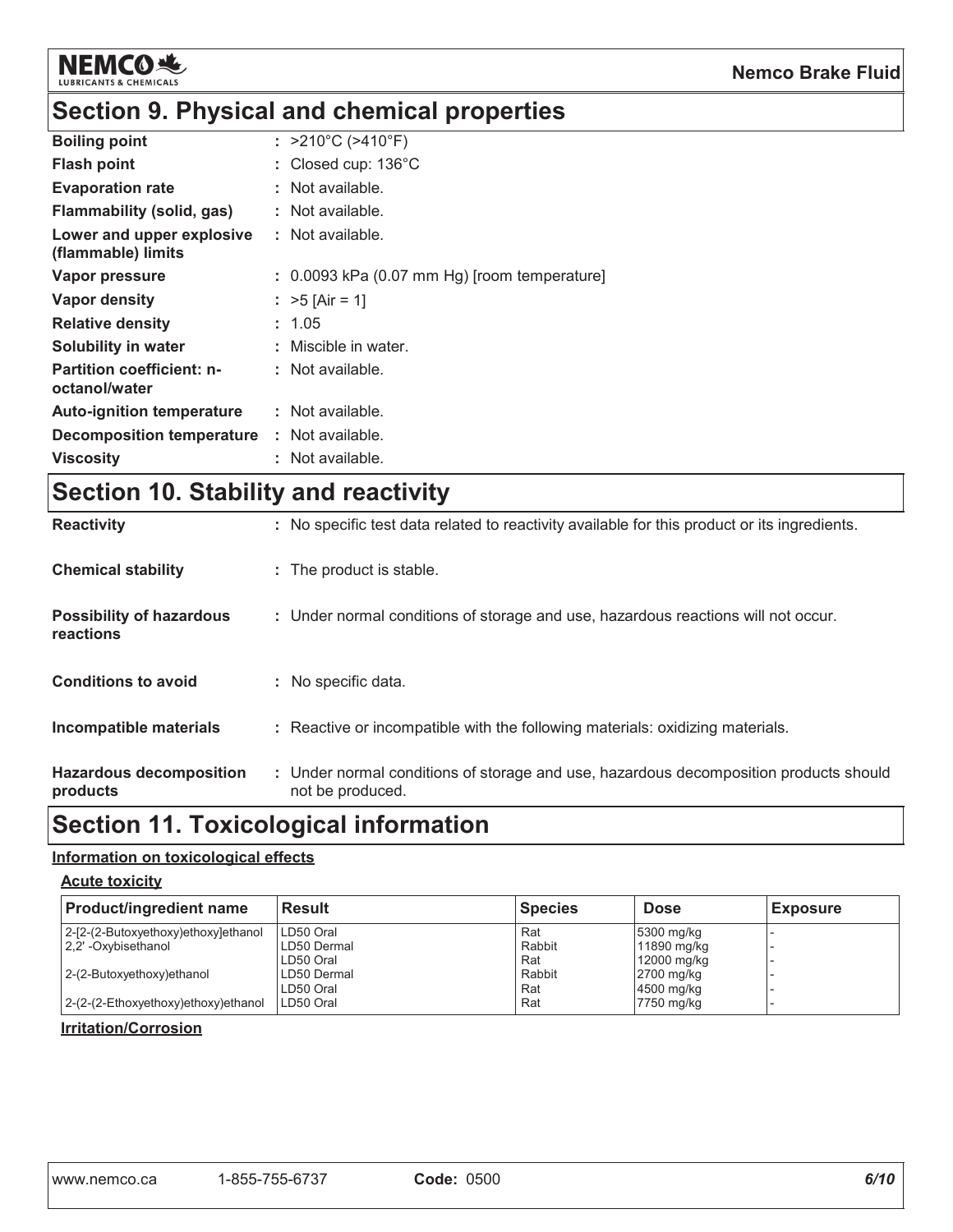

# Section 9. Physical and chemical properties

| <b>Boiling point</b>                              | : $>210^{\circ}$ C ( $>410^{\circ}$ F)         |
|---------------------------------------------------|------------------------------------------------|
| <b>Flash point</b>                                | : Closed cup: $136^{\circ}$ C                  |
| <b>Evaporation rate</b>                           | : Not available.                               |
| Flammability (solid, gas)                         | : Not available.                               |
| Lower and upper explosive<br>(flammable) limits   | : Not available.                               |
| Vapor pressure                                    | $: 0.0093$ kPa (0.07 mm Hg) [room temperature] |
| Vapor density                                     | : $>5$ [Air = 1]                               |
| <b>Relative density</b>                           | : 1.05                                         |
| Solubility in water                               | : Miscible in water.                           |
| <b>Partition coefficient: n-</b><br>octanol/water | $:$ Not available.                             |
| <b>Auto-ignition temperature</b>                  | $:$ Not available.                             |
| Decomposition temperature                         | : Not available.                               |
| <b>Viscosity</b>                                  | : Not available.                               |

# Section 10. Stability and reactivity

| reactions<br><b>Conditions to avoid</b><br>Incompatible materials<br><b>Hazardous decomposition</b> | : No specific data.<br>: Reactive or incompatible with the following materials: oxidizing materials.<br>: Under normal conditions of storage and use, hazardous decomposition products should |
|-----------------------------------------------------------------------------------------------------|-----------------------------------------------------------------------------------------------------------------------------------------------------------------------------------------------|
|                                                                                                     |                                                                                                                                                                                               |
|                                                                                                     |                                                                                                                                                                                               |
|                                                                                                     |                                                                                                                                                                                               |
| <b>Possibility of hazardous</b>                                                                     | : Under normal conditions of storage and use, hazardous reactions will not occur.                                                                                                             |
| <b>Chemical stability</b>                                                                           | : The product is stable.                                                                                                                                                                      |
| <b>Reactivity</b>                                                                                   | : No specific test data related to reactivity available for this product or its ingredients.                                                                                                  |

# Section 11. Toxicological information

#### Information on toxicological effects

#### **Acute toxicity**

| <b>Product/ingredient name</b>      | <b>Result</b> | <b>Species</b> | <b>Dose</b> | <b>Exposure</b> |
|-------------------------------------|---------------|----------------|-------------|-----------------|
| 2-[2-(2-Butoxyethoxy)ethoxy]ethanol | LD50 Oral     | Rat            | 5300 mg/kg  |                 |
| 2.2' -Oxybisethanol                 | LD50 Dermal   | Rabbit         | 11890 mg/kg |                 |
|                                     | LD50 Oral     | Rat            | 12000 mg/kg |                 |
| 2-(2-Butoxyethoxy)ethanol           | LD50 Dermal   | Rabbit         | 2700 mg/kg  |                 |
|                                     | LD50 Oral     | Rat            | 4500 mg/kg  |                 |
| 2-(2-(2-Ethoxyethoxy)ethoxy)ethanol | LD50 Oral     | Rat            | 7750 mg/kg  |                 |

#### **Irritation/Corrosion**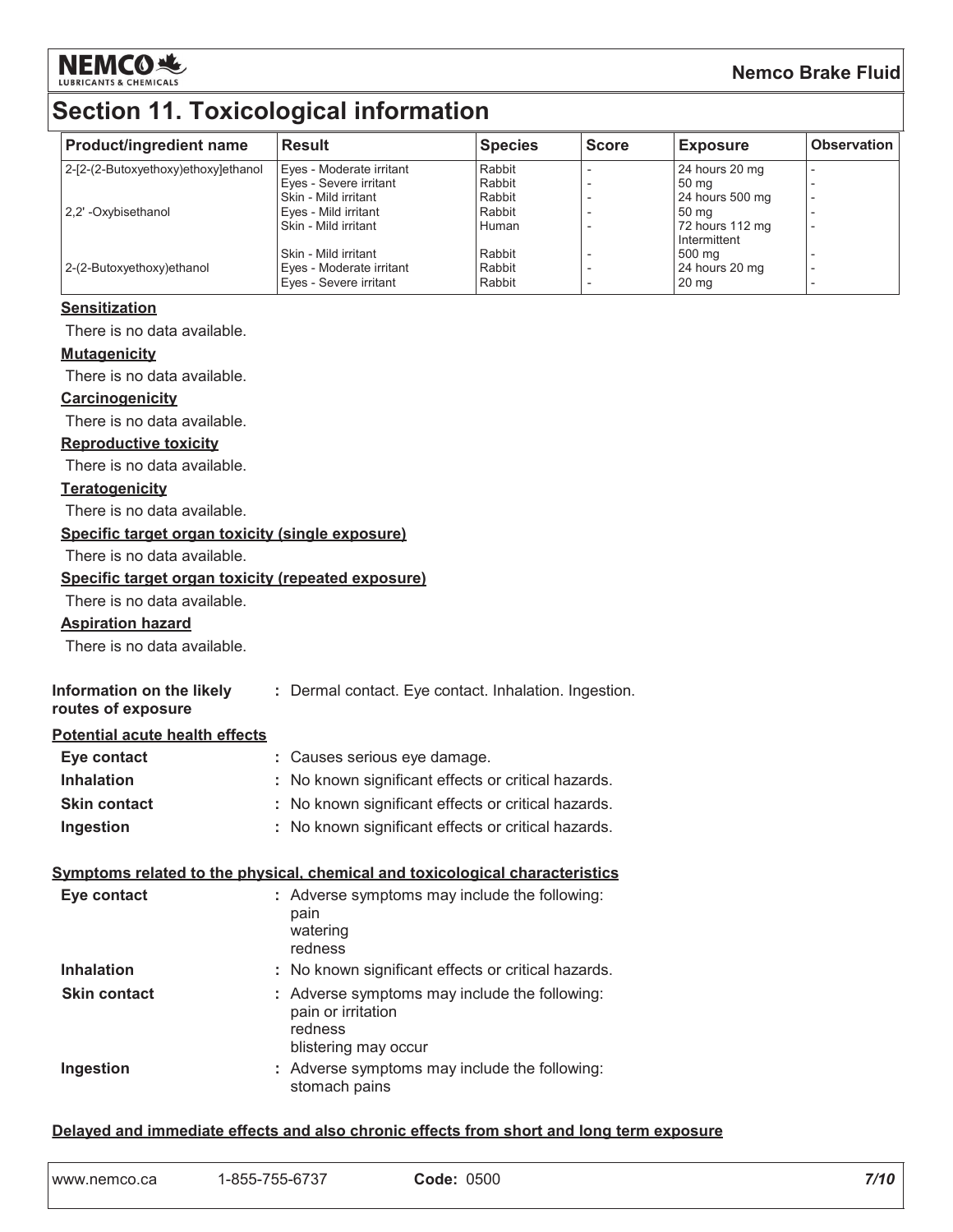

#### **Nemco Brake Fluid**

| <b>Product/ingredient name</b>                                               | <b>Result</b>                                         | <b>Species</b>   | <b>Score</b> | <b>Exposure</b>          | <b>Observation</b> |
|------------------------------------------------------------------------------|-------------------------------------------------------|------------------|--------------|--------------------------|--------------------|
| 2-[2-(2-Butoxyethoxy)ethoxy]ethanol                                          | Eyes - Moderate irritant                              | Rabbit           |              | 24 hours 20 mg           |                    |
|                                                                              | Eyes - Severe irritant<br>Skin - Mild irritant        | Rabbit<br>Rabbit |              | 50 mg<br>24 hours 500 mg |                    |
| 2,2' - Oxybisethanol                                                         | Eves - Mild irritant<br>Skin - Mild irritant          | Rabbit<br>Human  |              | 50 mg<br>72 hours 112 mg |                    |
|                                                                              |                                                       |                  |              | Intermittent             |                    |
| 2-(2-Butoxyethoxy)ethanol                                                    | Skin - Mild irritant<br>Eyes - Moderate irritant      | Rabbit<br>Rabbit |              | 500 mg<br>24 hours 20 mg |                    |
|                                                                              | Eyes - Severe irritant                                | Rabbit           |              | 20 <sub>mg</sub>         |                    |
| <b>Sensitization</b>                                                         |                                                       |                  |              |                          |                    |
| There is no data available.                                                  |                                                       |                  |              |                          |                    |
| <b>Mutagenicity</b>                                                          |                                                       |                  |              |                          |                    |
| There is no data available.                                                  |                                                       |                  |              |                          |                    |
| <b>Carcinogenicity</b>                                                       |                                                       |                  |              |                          |                    |
| There is no data available.                                                  |                                                       |                  |              |                          |                    |
| <b>Reproductive toxicity</b>                                                 |                                                       |                  |              |                          |                    |
| There is no data available.                                                  |                                                       |                  |              |                          |                    |
| <b>Teratogenicity</b>                                                        |                                                       |                  |              |                          |                    |
| There is no data available.                                                  |                                                       |                  |              |                          |                    |
| Specific target organ toxicity (single exposure)                             |                                                       |                  |              |                          |                    |
| There is no data available.                                                  |                                                       |                  |              |                          |                    |
| Specific target organ toxicity (repeated exposure)                           |                                                       |                  |              |                          |                    |
| There is no data available.                                                  |                                                       |                  |              |                          |                    |
| <b>Aspiration hazard</b>                                                     |                                                       |                  |              |                          |                    |
| There is no data available.                                                  |                                                       |                  |              |                          |                    |
| Information on the likely                                                    | : Dermal contact. Eye contact. Inhalation. Ingestion. |                  |              |                          |                    |
| routes of exposure                                                           |                                                       |                  |              |                          |                    |
| Potential acute health effects                                               |                                                       |                  |              |                          |                    |
| Eye contact                                                                  | : Causes serious eye damage.                          |                  |              |                          |                    |
| <b>Inhalation</b>                                                            | : No known significant effects or critical hazards.   |                  |              |                          |                    |
| <b>Skin contact</b>                                                          | : No known significant effects or critical hazards.   |                  |              |                          |                    |
| Ingestion                                                                    | : No known significant effects or critical hazards.   |                  |              |                          |                    |
| Symptoms related to the physical, chemical and toxicological characteristics |                                                       |                  |              |                          |                    |
| Eye contact                                                                  | : Adverse symptoms may include the following:<br>pain |                  |              |                          |                    |
|                                                                              | watering                                              |                  |              |                          |                    |
|                                                                              | redness                                               |                  |              |                          |                    |
| <b>Inhalation</b>                                                            | No known significant effects or critical hazards.     |                  |              |                          |                    |

| <b>Skin contact</b> | : Adverse symptoms may include the following:<br>pain or irritation<br>redness |
|---------------------|--------------------------------------------------------------------------------|
|                     | blistering may occur                                                           |
| Ingestion           | : Adverse symptoms may include the following:<br>stomach pains                 |

#### Delayed and immediate effects and also chronic effects from short and long term exposure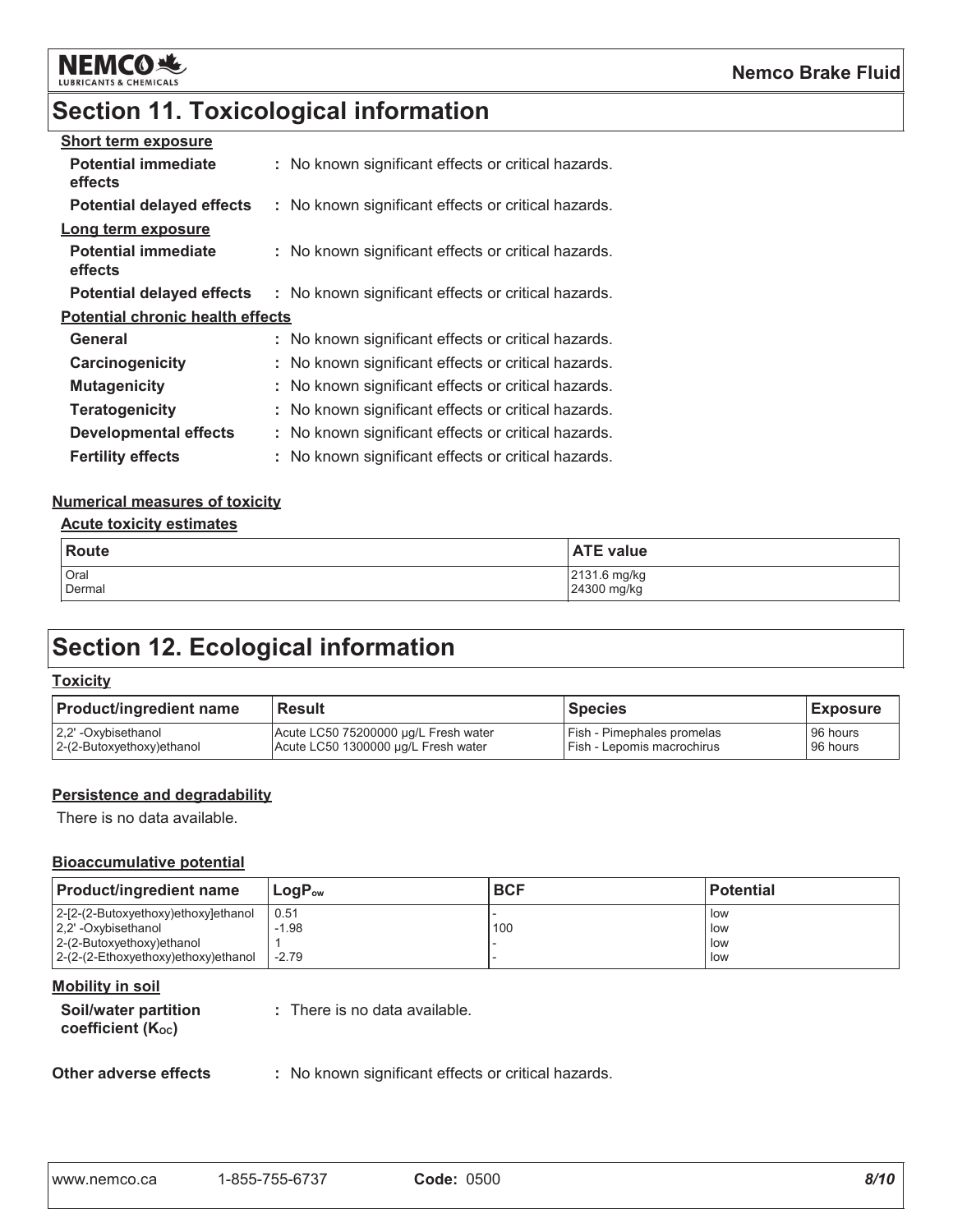

# **Section 11. Toxicological information**

| <b>Short term exposure</b>              |                                                     |
|-----------------------------------------|-----------------------------------------------------|
| <b>Potential immediate</b><br>effects   | : No known significant effects or critical hazards. |
| <b>Potential delayed effects</b>        | : No known significant effects or critical hazards. |
| Long term exposure                      |                                                     |
| <b>Potential immediate</b><br>effects   | : No known significant effects or critical hazards. |
| <b>Potential delayed effects</b>        | : No known significant effects or critical hazards. |
| <b>Potential chronic health effects</b> |                                                     |
| General                                 | : No known significant effects or critical hazards. |
| Carcinogenicity                         | : No known significant effects or critical hazards. |
| <b>Mutagenicity</b>                     | : No known significant effects or critical hazards. |
| <b>Teratogenicity</b>                   | : No known significant effects or critical hazards. |
| <b>Developmental effects</b>            | : No known significant effects or critical hazards. |
| <b>Fertility effects</b>                | : No known significant effects or critical hazards. |

#### **Numerical measures of toxicity**

#### **Acute toxicity estimates**

| Route  | <b>ATE value</b> |
|--------|------------------|
| Oral   | 2131.6 mg/kg     |
| Dermal | 24300 mg/kg      |

# **Section 12. Ecological information**

#### **Toxicity**

| <b>Product/ingredient name</b> | <b>Result</b>                        | Species                    | <b>Exposure</b> |
|--------------------------------|--------------------------------------|----------------------------|-----------------|
| 2,2'-Oxybisethanol             | Acute LC50 75200000 ug/L Fresh water | Fish - Pimephales promelas | 96 hours        |
| 2-(2-Butoxyethoxy)ethanol      | Acute LC50 1300000 µg/L Fresh water  | Fish - Lepomis macrochirus | 96 hours        |

#### Persistence and degradability

There is no data available.

#### **Bioaccumulative potential**

| <b>Product/ingredient name</b>                                                           | 'LoqP <sub>ow</sub> | <b>BCF</b> | <b>Potential</b>  |
|------------------------------------------------------------------------------------------|---------------------|------------|-------------------|
| 2-[2-(2-Butoxyethoxy)ethoxy]ethanol<br>2.2' - Oxybisethanol<br>2-(2-Butoxyethoxy)ethanol | 0.51<br>$-1.98$     | 100        | low<br>low<br>low |
| 2-(2-(2-Ethoxyethoxy)ethoxy)ethanol                                                      | $-2.79$             |            | low               |

#### **Mobility in soil**

| Soil/water partition           | : There is no data available. |
|--------------------------------|-------------------------------|
| coefficient (K <sub>oc</sub> ) |                               |

#### Other adverse effects

: No known significant effects or critical hazards.

| www.nemco.ca | 1-855-755-6737 | <b>Code: 0500</b> |
|--------------|----------------|-------------------|
|              |                |                   |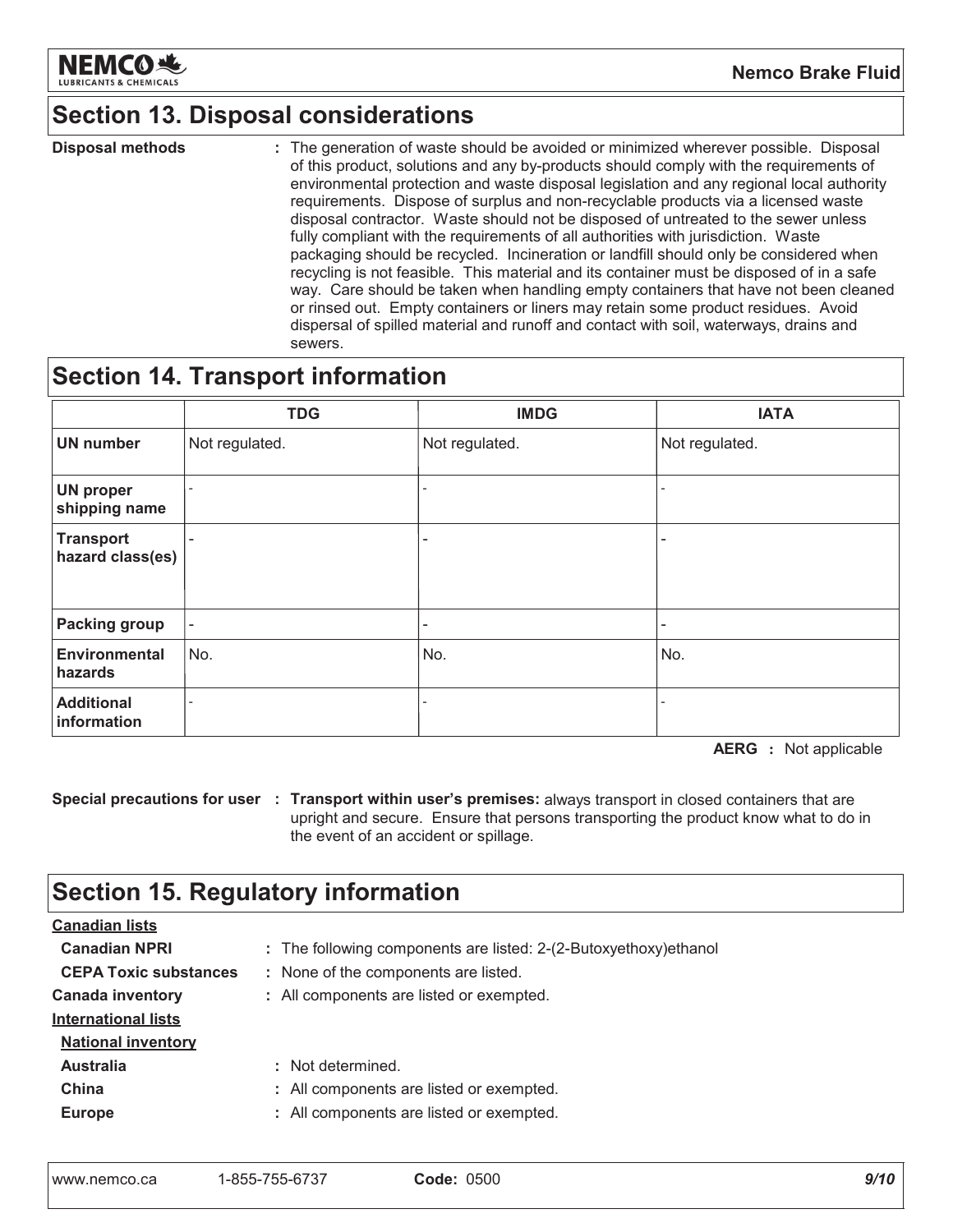

**Nemco Brake Fluid** 

### **Section 13. Disposal considerations**

**Disposal methods** : The generation of waste should be avoided or minimized wherever possible. Disposal of this product, solutions and any by-products should comply with the requirements of environmental protection and waste disposal legislation and any regional local authority requirements. Dispose of surplus and non-recyclable products via a licensed waste disposal contractor. Waste should not be disposed of untreated to the sewer unless fully compliant with the requirements of all authorities with jurisdiction. Waste packaging should be recycled. Incineration or landfill should only be considered when recycling is not feasible. This material and its container must be disposed of in a safe way. Care should be taken when handling empty containers that have not been cleaned or rinsed out. Empty containers or liners may retain some product residues. Avoid dispersal of spilled material and runoff and contact with soil, waterways, drains and sewers.

### **Section 14. Transport information**

|                                      | <b>TDG</b>               | <b>IMDG</b>    | <b>IATA</b>    |
|--------------------------------------|--------------------------|----------------|----------------|
| <b>UN number</b>                     | Not regulated.           | Not regulated. | Not regulated. |
| <b>UN proper</b><br>shipping name    | $\overline{\phantom{a}}$ |                |                |
| <b>Transport</b><br>hazard class(es) | $\overline{\phantom{a}}$ |                |                |
| <b>Packing group</b>                 | $\overline{\phantom{a}}$ | Ξ.             | -              |
| <b>Environmental</b><br>hazards      | No.                      | No.            | No.            |
| <b>Additional</b><br>information     |                          |                |                |

**AERG** : Not applicable

Special precautions for user : Transport within user's premises: always transport in closed containers that are upright and secure. Ensure that persons transporting the product know what to do in the event of an accident or spillage.

# **Section 15. Regulatory information**

| <b>Canadian lists</b>        |                                                                   |
|------------------------------|-------------------------------------------------------------------|
| <b>Canadian NPRI</b>         | : The following components are listed: 2-(2-Butoxyethoxy) ethanol |
| <b>CEPA Toxic substances</b> | : None of the components are listed.                              |
| <b>Canada inventory</b>      | : All components are listed or exempted.                          |
| <b>International lists</b>   |                                                                   |
| <b>National inventory</b>    |                                                                   |
| <b>Australia</b>             | : Not determined.                                                 |
| China                        | : All components are listed or exempted.                          |
| <b>Europe</b>                | : All components are listed or exempted.                          |
|                              |                                                                   |